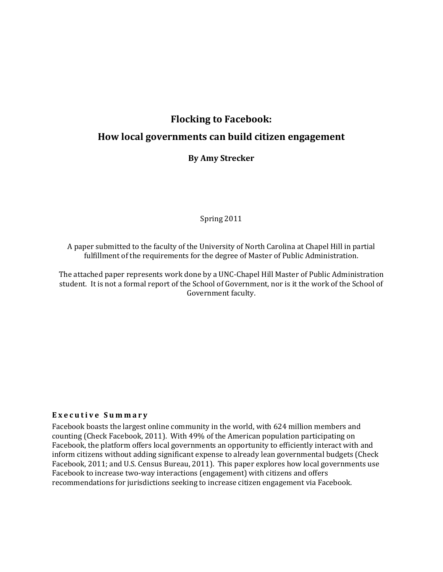# Flocking to Facebook:

# How local governments can build citizen engagement

## By Amy Strecker

Spring 2011

A paper submitted to the faculty of the University of North Carolina at Chapel Hill in partial fulfillment of the requirements for the degree of Master of Public Administration.

The attached paper represents work done by a UNC-Chapel Hill Master of Public Administration student. It is not a formal report of the School of Government, nor is it the work of the School of Government faculty.

### Executive Summary

Facebook boasts the largest online community in the world, with 624 million members and counting (Check Facebook, 2011). With 49% of the American population participating on Facebook, the platform offers local governments an opportunity to efficiently interact with and inform citizens without adding significant expense to already lean governmental budgets (Check Facebook, 2011; and U.S. Census Bureau, 2011). This paper explores how local governments use Facebook to increase two-way interactions (engagement) with citizens and offers recommendations for jurisdictions seeking to increase citizen engagement via Facebook.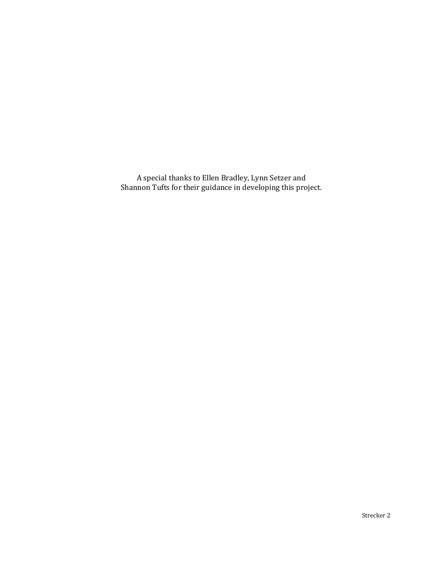A special thanks to Ellen Bradley, Lynn Setzer and Shannon Tufts for their guidance in developing this project.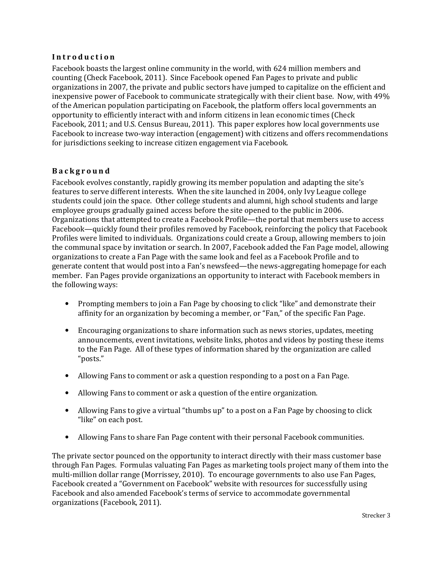### Introduction

Facebook boasts the largest online community in the world, with 624 million members and counting (Check Facebook, 2011). Since Facebook opened Fan Pages to private and public organizations in 2007, the private and public sectors have jumped to capitalize on the efficient and inexpensive power of Facebook to communicate strategically with their client base. Now, with 49% of the American population participating on Facebook, the platform offers local governments an opportunity to efficiently interact with and inform citizens in lean economic times (Check Facebook, 2011; and U.S. Census Bureau, 2011). This paper explores how local governments use Facebook to increase two-way interaction (engagement) with citizens and offers recommendations for jurisdictions seeking to increase citizen engagement via Facebook.

# B a c k g r o u n d

Facebook evolves constantly, rapidly growing its member population and adapting the site's features to serve different interests. When the site launched in 2004, only Ivy League college students could join the space. Other college students and alumni, high school students and large employee groups gradually gained access before the site opened to the public in 2006. Organizations that attempted to create a Facebook Profile—the portal that members use to access Facebook—quickly found their profiles removed by Facebook, reinforcing the policy that Facebook Profiles were limited to individuals. Organizations could create a Group, allowing members to join the communal space by invitation or search. In 2007, Facebook added the Fan Page model, allowing organizations to create a Fan Page with the same look and feel as a Facebook Profile and to generate content that would post into a Fan's newsfeed—the news-aggregating homepage for each member. Fan Pages provide organizations an opportunity to interact with Facebook members in the following ways:

- Prompting members to join a Fan Page by choosing to click "like" and demonstrate their affinity for an organization by becoming a member, or "Fan," of the specific Fan Page.
- Encouraging organizations to share information such as news stories, updates, meeting announcements, event invitations, website links, photos and videos by posting these items to the Fan Page. All of these types of information shared by the organization are called "posts."
- Allowing Fans to comment or ask a question responding to a post on a Fan Page.
- Allowing Fans to comment or ask a question of the entire organization.
- Allowing Fans to give a virtual "thumbs up" to a post on a Fan Page by choosing to click "like" on each post.
- Allowing Fans to share Fan Page content with their personal Facebook communities.

The private sector pounced on the opportunity to interact directly with their mass customer base through Fan Pages. Formulas valuating Fan Pages as marketing tools project many of them into the multi-million dollar range (Morrissey, 2010). To encourage governments to also use Fan Pages, Facebook created a "Government on Facebook" website with resources for successfully using Facebook and also amended Facebook's terms of service to accommodate governmental organizations (Facebook, 2011).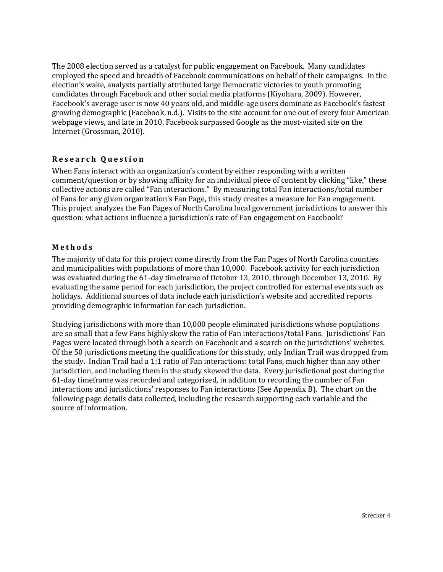The 2008 election served as a catalyst for public engagement on Facebook. Many candidates employed the speed and breadth of Facebook communications on behalf of their campaigns. In the election's wake, analysts partially attributed large Democratic victories to youth promoting candidates through Facebook and other social media platforms (Kiyohara, 2009). However, Facebook's average user is now 40 years old, and middle-age users dominate as Facebook's fastest growing demographic (Facebook, n.d.). Visits to the site account for one out of every four American webpage views, and late in 2010, Facebook surpassed Google as the most-visited site on the Internet (Grossman, 2010).

# Research Question

When Fans interact with an organization's content by either responding with a written comment/question or by showing affinity for an individual piece of content by clicking "like," these collective actions are called "Fan interactions." By measuring total Fan interactions/total number of Fans for any given organization's Fan Page, this study creates a measure for Fan engagement. This project analyzes the Fan Pages of North Carolina local government jurisdictions to answer this question: what actions influence a jurisdiction's rate of Fan engagement on Facebook?

### **Methods**

The majority of data for this project come directly from the Fan Pages of North Carolina counties and municipalities with populations of more than 10,000. Facebook activity for each jurisdiction was evaluated during the 61-day timeframe of October 13, 2010, through December 13, 2010. By evaluating the same period for each jurisdiction, the project controlled for external events such as holidays. Additional sources of data include each jurisdiction's website and accredited reports providing demographic information for each jurisdiction.

Studying jurisdictions with more than 10,000 people eliminated jurisdictions whose populations are so small that a few Fans highly skew the ratio of Fan interactions/total Fans. Jurisdictions' Fan Pages were located through both a search on Facebook and a search on the jurisdictions' websites. Of the 50 jurisdictions meeting the qualifications for this study, only Indian Trail was dropped from the study. Indian Trail had a 1:1 ratio of Fan interactions: total Fans, much higher than any other jurisdiction, and including them in the study skewed the data. Every jurisdictional post during the 61-day timeframe was recorded and categorized, in addition to recording the number of Fan interactions and jurisdictions' responses to Fan interactions (See Appendix B). The chart on the following page details data collected, including the research supporting each variable and the source of information.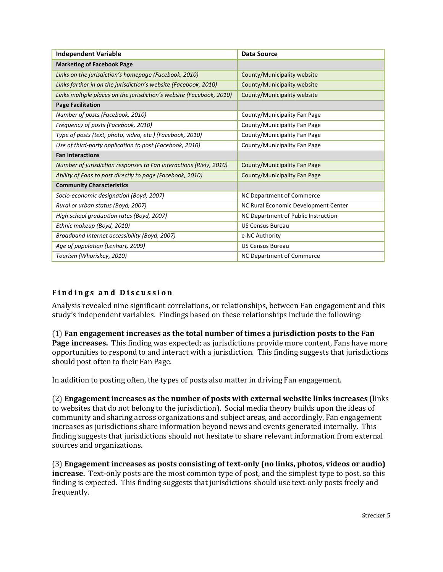| <b>Independent Variable</b>                                          | Data Source                          |
|----------------------------------------------------------------------|--------------------------------------|
| <b>Marketing of Facebook Page</b>                                    |                                      |
| Links on the jurisdiction's homepage (Facebook, 2010)                | County/Municipality website          |
| Links farther in on the jurisdiction's website (Facebook, 2010)      | County/Municipality website          |
| Links multiple places on the jurisdiction's website (Facebook, 2010) | County/Municipality website          |
| <b>Page Facilitation</b>                                             |                                      |
| Number of posts (Facebook, 2010)                                     | County/Municipality Fan Page         |
| Frequency of posts (Facebook, 2010)                                  | County/Municipality Fan Page         |
| Type of posts (text, photo, video, etc.) (Facebook, 2010)            | County/Municipality Fan Page         |
| Use of third-party application to post (Facebook, 2010)              | County/Municipality Fan Page         |
| <b>Fan Interactions</b>                                              |                                      |
| Number of jurisdiction responses to Fan interactions (Riely, 2010)   | County/Municipality Fan Page         |
| Ability of Fans to post directly to page (Facebook, 2010)            | County/Municipality Fan Page         |
| <b>Community Characteristics</b>                                     |                                      |
| Socio-economic designation (Boyd, 2007)                              | NC Department of Commerce            |
| Rural or urban status (Boyd, 2007)                                   | NC Rural Economic Development Center |
| High school graduation rates (Boyd, 2007)                            | NC Department of Public Instruction  |
| Ethnic makeup (Boyd, 2010)                                           | <b>US Census Bureau</b>              |
| Broadband Internet accessibility (Boyd, 2007)                        | e-NC Authority                       |
| Age of population (Lenhart, 2009)                                    | <b>US Census Bureau</b>              |
| Tourism (Whoriskey, 2010)                                            | NC Department of Commerce            |

# Findings and Discussion

Analysis revealed nine significant correlations, or relationships, between Fan engagement and this study's independent variables. Findings based on these relationships include the following:

(1) Fan engagement increases as the total number of times a jurisdiction posts to the Fan Page increases. This finding was expected; as jurisdictions provide more content, Fans have more opportunities to respond to and interact with a jurisdiction. This finding suggests that jurisdictions should post often to their Fan Page.

In addition to posting often, the types of posts also matter in driving Fan engagement.

(2) Engagement increases as the number of posts with external website links increases (links to websites that do not belong to the jurisdiction). Social media theory builds upon the ideas of community and sharing across organizations and subject areas, and accordingly, Fan engagement increases as jurisdictions share information beyond news and events generated internally. This finding suggests that jurisdictions should not hesitate to share relevant information from external sources and organizations.

(3) Engagement increases as posts consisting of text-only (no links, photos, videos or audio) increase. Text-only posts are the most common type of post, and the simplest type to post, so this finding is expected. This finding suggests that jurisdictions should use text-only posts freely and frequently.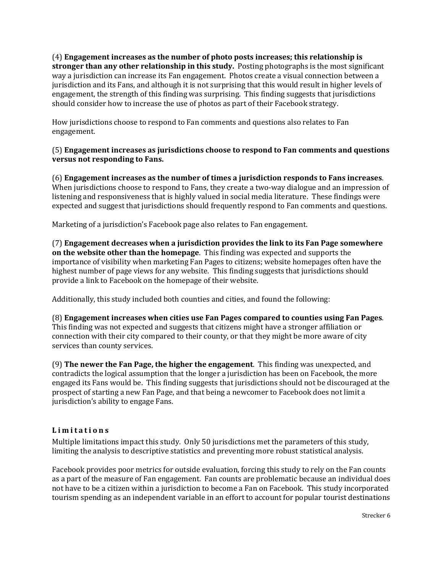(4) Engagement increases as the number of photo posts increases; this relationship is stronger than any other relationship in this study. Posting photographs is the most significant way a jurisdiction can increase its Fan engagement. Photos create a visual connection between a jurisdiction and its Fans, and although it is not surprising that this would result in higher levels of engagement, the strength of this finding was surprising. This finding suggests that jurisdictions should consider how to increase the use of photos as part of their Facebook strategy.

How jurisdictions choose to respond to Fan comments and questions also relates to Fan engagement.

## (5) Engagement increases as jurisdictions choose to respond to Fan comments and questions versus not responding to Fans.

(6) Engagement increases as the number of times a jurisdiction responds to Fans increases. When jurisdictions choose to respond to Fans, they create a two-way dialogue and an impression of listening and responsiveness that is highly valued in social media literature. These findings were expected and suggest that jurisdictions should frequently respond to Fan comments and questions.

Marketing of a jurisdiction's Facebook page also relates to Fan engagement.

(7) Engagement decreases when a jurisdiction provides the link to its Fan Page somewhere on the website other than the homepage. This finding was expected and supports the importance of visibility when marketing Fan Pages to citizens; website homepages often have the highest number of page views for any website. This finding suggests that jurisdictions should provide a link to Facebook on the homepage of their website.

Additionally, this study included both counties and cities, and found the following:

(8) Engagement increases when cities use Fan Pages compared to counties using Fan Pages. This finding was not expected and suggests that citizens might have a stronger affiliation or connection with their city compared to their county, or that they might be more aware of city services than county services.

(9) The newer the Fan Page, the higher the engagement. This finding was unexpected, and contradicts the logical assumption that the longer a jurisdiction has been on Facebook, the more engaged its Fans would be. This finding suggests that jurisdictions should not be discouraged at the prospect of starting a new Fan Page, and that being a newcomer to Facebook does not limit a jurisdiction's ability to engage Fans.

## Limitations

Multiple limitations impact this study. Only 50 jurisdictions met the parameters of this study, limiting the analysis to descriptive statistics and preventing more robust statistical analysis.

Facebook provides poor metrics for outside evaluation, forcing this study to rely on the Fan counts as a part of the measure of Fan engagement. Fan counts are problematic because an individual does not have to be a citizen within a jurisdiction to become a Fan on Facebook. This study incorporated tourism spending as an independent variable in an effort to account for popular tourist destinations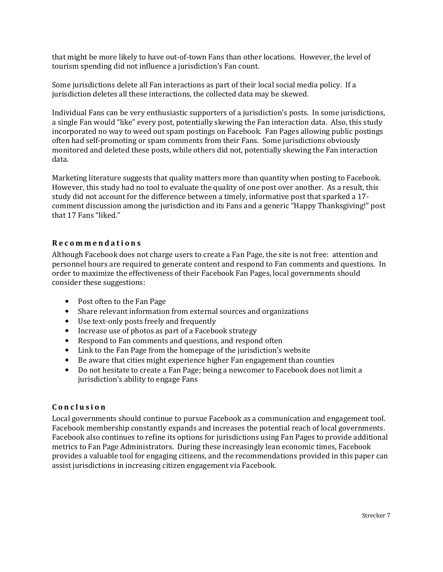that might be more likely to have out-of-town Fans than other locations. However, the level of tourism spending did not influence a jurisdiction's Fan count.

Some jurisdictions delete all Fan interactions as part of their local social media policy. If a jurisdiction deletes all these interactions, the collected data may be skewed.

Individual Fans can be very enthusiastic supporters of a jurisdiction's posts. In some jurisdictions, a single Fan would "like" every post, potentially skewing the Fan interaction data. Also, this study incorporated no way to weed out spam postings on Facebook. Fan Pages allowing public postings often had self-promoting or spam comments from their Fans. Some jurisdictions obviously monitored and deleted these posts, while others did not, potentially skewing the Fan interaction data.

Marketing literature suggests that quality matters more than quantity when posting to Facebook. However, this study had no tool to evaluate the quality of one post over another. As a result, this study did not account for the difference between a timely, informative post that sparked a 17 comment discussion among the jurisdiction and its Fans and a generic "Happy Thanksgiving!" post that 17 Fans "liked."

## R e c o m m e n d a t i o n s

Although Facebook does not charge users to create a Fan Page, the site is not free: attention and personnel hours are required to generate content and respond to Fan comments and questions. In order to maximize the effectiveness of their Facebook Fan Pages, local governments should consider these suggestions:

- Post often to the Fan Page
- Share relevant information from external sources and organizations
- Use text-only posts freely and frequently
- Increase use of photos as part of a Facebook strategy
- Respond to Fan comments and questions, and respond often
- Link to the Fan Page from the homepage of the jurisdiction's website
- Be aware that cities might experience higher Fan engagement than counties
- Do not hesitate to create a Fan Page; being a newcomer to Facebook does not limit a jurisdiction's ability to engage Fans

### C o n c l u s i o n

Local governments should continue to pursue Facebook as a communication and engagement tool. Facebook membership constantly expands and increases the potential reach of local governments. Facebook also continues to refine its options for jurisdictions using Fan Pages to provide additional metrics to Fan Page Administrators. During these increasingly lean economic times, Facebook provides a valuable tool for engaging citizens, and the recommendations provided in this paper can assist jurisdictions in increasing citizen engagement via Facebook.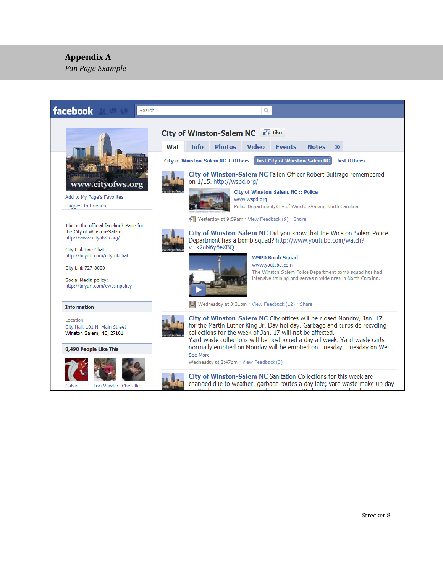# Appendix A

ׇ֘֒

Fan Page Example

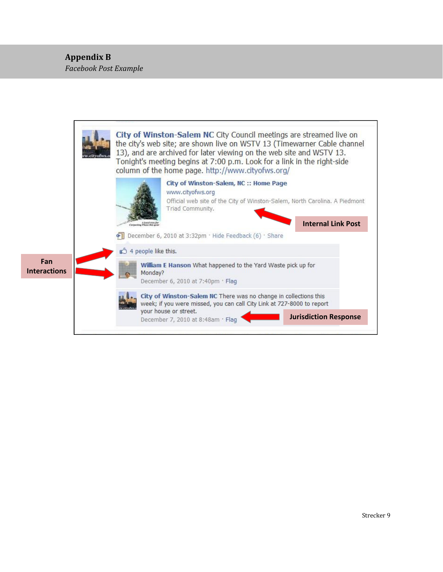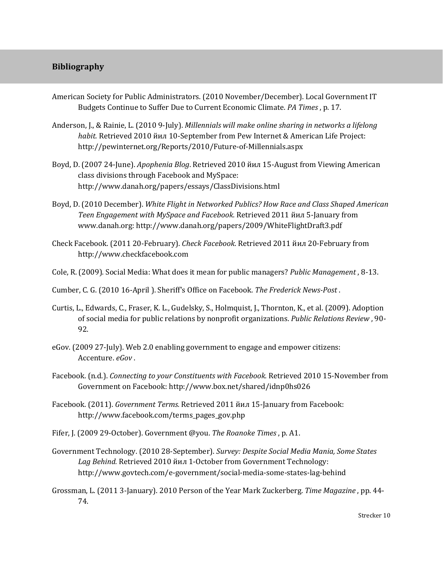# Bibliography

- American Society for Public Administrators. (2010 November/December). Local Government IT Budgets Continue to Suffer Due to Current Economic Climate. PA Times , p. 17.
- Anderson, J., & Rainie, L. (2010 9-July). Millennials will make online sharing in networks a lifelong habit. Retrieved 2010 йил 10-September from Pew Internet & American Life Project: http://pewinternet.org/Reports/2010/Future-of-Millennials.aspx
- Boyd, D. (2007 24-June). Apophenia Blog. Retrieved 2010 йил 15-August from Viewing American class divisions through Facebook and MySpace: http://www.danah.org/papers/essays/ClassDivisions.html
- Boyd, D. (2010 December). White Flight in Networked Publics? How Race and Class Shaped American Teen Engagement with MySpace and Facebook. Retrieved 2011 йил 5-January from www.danah.org: http://www.danah.org/papers/2009/WhiteFlightDraft3.pdf
- Check Facebook. (2011 20-February). Check Facebook. Retrieved 2011 йил 20-February from http://www.checkfacebook.com
- Cole, R. (2009). Social Media: What does it mean for public managers? Public Management , 8-13.
- Cumber, C. G. (2010 16-April ). Sheriff's Office on Facebook. The Frederick News-Post .
- Curtis, L., Edwards, C., Fraser, K. L., Gudelsky, S., Holmquist, J., Thornton, K., et al. (2009). Adoption of social media for public relations by nonprofit organizations. Public Relations Review , 90- 92.
- eGov. (2009 27-July). Web 2.0 enabling government to engage and empower citizens: Accenture. eGov .
- Facebook. (n.d.). Connecting to your Constituents with Facebook. Retrieved 2010 15-November from Government on Facebook: http://www.box.net/shared/idnp0hs026
- Facebook. (2011). Government Terms. Retrieved 2011 йил 15-January from Facebook: http://www.facebook.com/terms\_pages\_gov.php
- Fifer, J. (2009 29-October). Government @you. The Roanoke Times , p. A1.
- Government Technology. (2010 28-September). Survey: Despite Social Media Mania, Some States Lag Behind. Retrieved 2010 йил 1-October from Government Technology: http://www.govtech.com/e-government/social-media-some-states-lag-behind
- Grossman, L. (2011 3-January). 2010 Person of the Year Mark Zuckerberg. Time Magazine , pp. 44- 74.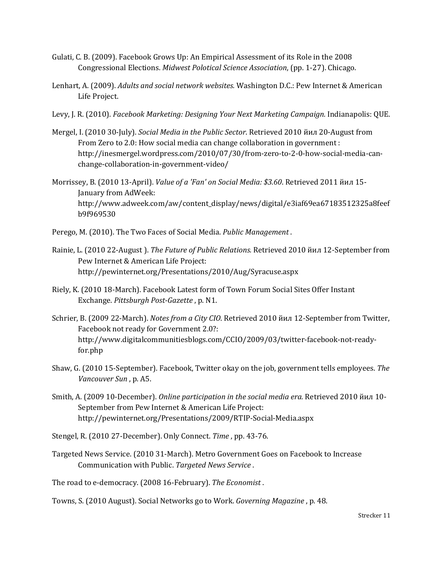- Gulati, C. B. (2009). Facebook Grows Up: An Empirical Assessment of its Role in the 2008 Congressional Elections. Midwest Polotical Science Association, (pp. 1-27). Chicago.
- Lenhart, A. (2009). Adults and social network websites. Washington D.C.: Pew Internet & American Life Project.
- Levy, J. R. (2010). Facebook Marketing: Designing Your Next Marketing Campaign. Indianapolis: QUE.
- Mergel, I. (2010 30-July). Social Media in the Public Sector. Retrieved 2010 йил 20-August from From Zero to 2.0: How social media can change collaboration in government : http://inesmergel.wordpress.com/2010/07/30/from-zero-to-2-0-how-social-media-canchange-collaboration-in-government-video/
- Morrissey, B. (2010 13-April). Value of a 'Fan' on Social Media: \$3.60. Retrieved 2011 йил 15- January from AdWeek: http://www.adweek.com/aw/content\_display/news/digital/e3iaf69ea67183512325a8feef b9f969530
- Perego, M. (2010). The Two Faces of Social Media. Public Management .
- Rainie, L. (2010 22-August ). The Future of Public Relations. Retrieved 2010 йил 12-September from Pew Internet & American Life Project: http://pewinternet.org/Presentations/2010/Aug/Syracuse.aspx
- Riely, K. (2010 18-March). Facebook Latest form of Town Forum Social Sites Offer Instant Exchange. Pittsburgh Post-Gazette , p. N1.
- Schrier, B. (2009 22-March). Notes from a City CIO. Retrieved 2010 йил 12-September from Twitter, Facebook not ready for Government 2.0?: http://www.digitalcommunitiesblogs.com/CCIO/2009/03/twitter-facebook-not-readyfor.php
- Shaw, G. (2010 15-September). Facebook, Twitter okay on the job, government tells employees. The Vancouver Sun , p. A5.
- Smith, A. (2009 10-December). Online participation in the social media era. Retrieved 2010 йил 10- September from Pew Internet & American Life Project: http://pewinternet.org/Presentations/2009/RTIP-Social-Media.aspx
- Stengel, R. (2010 27-December). Only Connect. Time , pp. 43-76.
- Targeted News Service. (2010 31-March). Metro Government Goes on Facebook to Increase Communication with Public. Targeted News Service .
- The road to e-democracy. (2008 16-February). The Economist .
- Towns, S. (2010 August). Social Networks go to Work. Governing Magazine , p. 48.